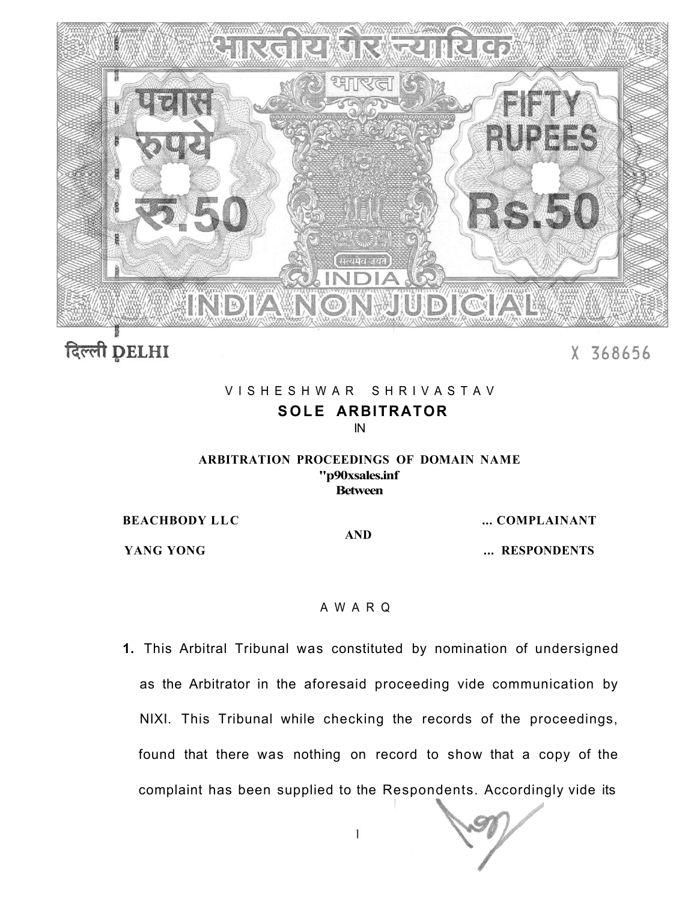

दिल्ली DELHI

### X 368656

### VISHESHWAR SHRIVASTAV **SOLE ARBITRATOR**  IN

#### **ARBITRATION PROCEEDINGS OF DOMAIN NAME "p90xsales.inf Between**

**AND** 

**BEACHBODY LLC** ... COMPLAINANT

**YANG YONG** ... *WANG YONG* ... *WANG YONG* 

#### AWAR Q

**1.** This Arbitral Tribunal was constituted by nomination of undersigned as the Arbitrator in the aforesaid proceeding vide communication by NIXI. This Tribunal while checking the records of the proceedings, found that there was nothing on record to show that a copy of the complaint has been supplied to the Respondents. Accordingly vide its

 $\mathbf{I}$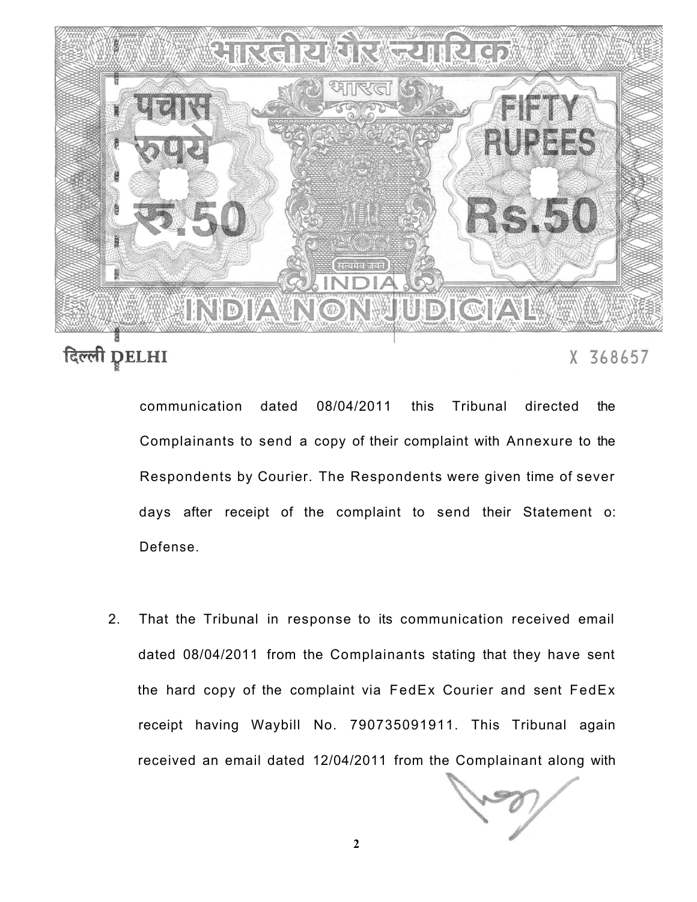

## दिल्ली DELHI

X 368657

communication dated 08/04/2011 this Tribunal directed the Complainants to send a copy of their complaint with Annexure to the Respondents by Courier. The Respondents were given time of sever days after receipt of the complaint to send their Statement o: Defense.

2. That the Tribunal in response to its communication received email dated 08/04/2011 from the Complainants stating that they have sent the hard copy of the complaint via FedEx Courier and sent FedEx receipt having Waybill No. 790735091911. This Tribunal again received an email dated 12/04/2011 from the Complainant along with

**2**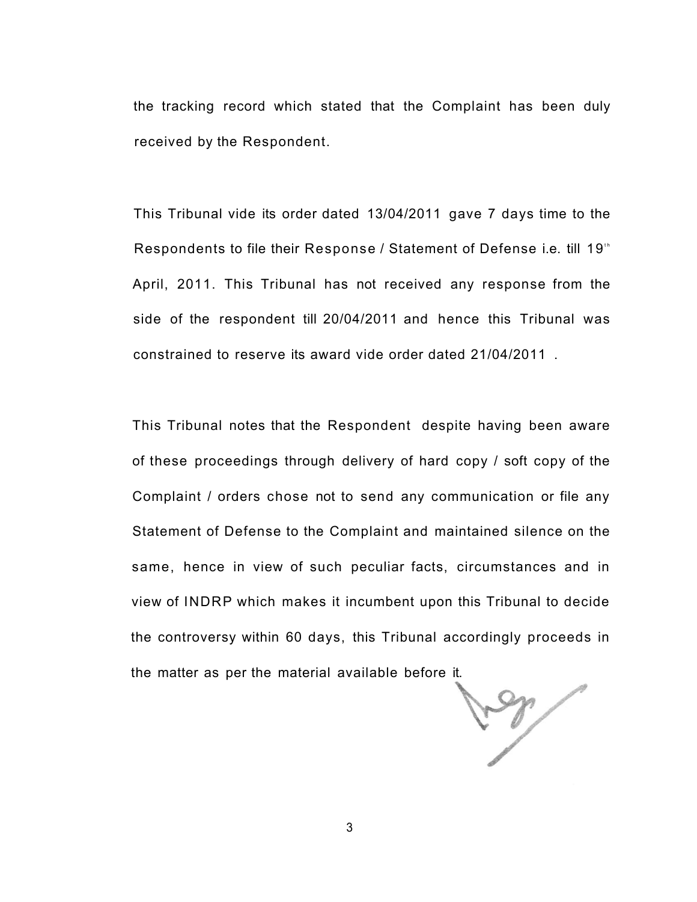the tracking record which stated that the Complaint has been duly received by the Respondent.

This Tribunal vide its order dated 13/04/2011 gave 7 days time to the Respondents to file their Response / Statement of Defense i.e. till 19<sup>th</sup> April, 2011. This Tribunal has not received any response from the side of the respondent till 20/04/2011 and hence this Tribunal was constrained to reserve its award vide order dated 21/04/2011 .

This Tribunal notes that the Respondent despite having been aware of these proceedings through delivery of hard copy / soft copy of the Complaint / orders chose not to send any communication or file any Statement of Defense to the Complaint and maintained silence on the same, hence in view of such peculiar facts, circumstances and in view of INDRP which makes it incumbent upon this Tribunal to decide the controversy within 60 days, this Tribunal accordingly proceeds in the matter as per the material available before it.

 $\sqrt{3}$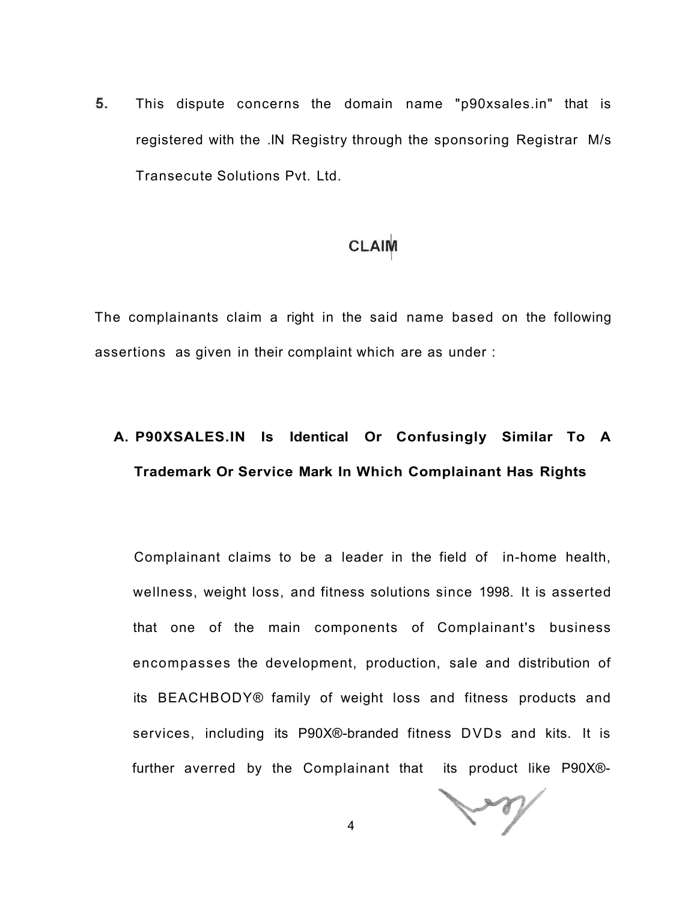5. This dispute concerns the domain name "p90xsales.in" that is registered with the .IN Registry through the sponsoring Registrar M/s Transecute Solutions Pvt. Ltd.

### **CLAIM**

The complainants claim a right in the said name based on the following assertions as given in their complaint which are as under :

## **A. P90XSALES.IN Is Identical Or Confusingly Similar To A Trademark Or Service Mark In Which Complainant Has Rights**

Complainant claims to be a leader in the field of in-home health, wellness, weight loss, and fitness solutions since 1998. It is asserted that one of the main components of Complainant's business encompasses the development, production, sale and distribution of its BEACHBODY® family of weight loss and fitness products and services, including its P90X®-branded fitness DVDs and kits. It is further averred by the Complainant that its product like P90X®-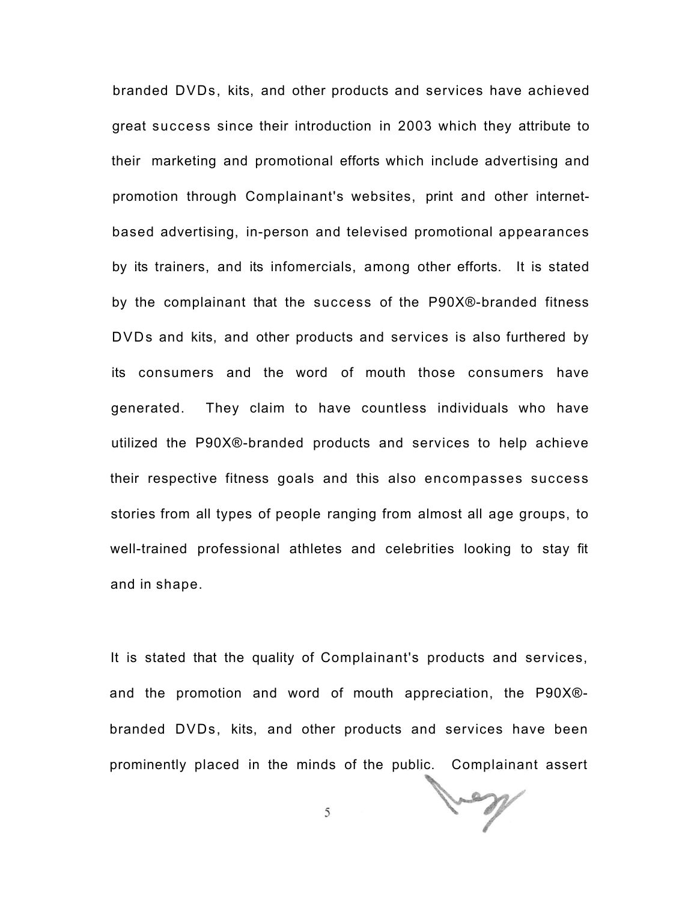branded DVDs, kits, and other products and services have achieved great success since their introduction in 2003 which they attribute to their marketing and promotional efforts which include advertising and promotion through Complainant's websites, print and other internetbased advertising, in-person and televised promotional appearances by its trainers, and its infomercials, among other efforts. It is stated by the complainant that the success of the P90X®-branded fitness DVDs and kits, and other products and services is also furthered by its consumers and the word of mouth those consumers have generated. They claim to have countless individuals who have utilized the P90X®-branded products and services to help achieve their respective fitness goals and this also encompasses success stories from all types of people ranging from almost all age groups, to well-trained professional athletes and celebrities looking to stay fit and in shape.

It is stated that the quality of Complainant's products and services, and the promotion and word of mouth appreciation, the P90X® branded DVDs, kits, and other products and services have been prominently placed in the minds of the public. Complainant assert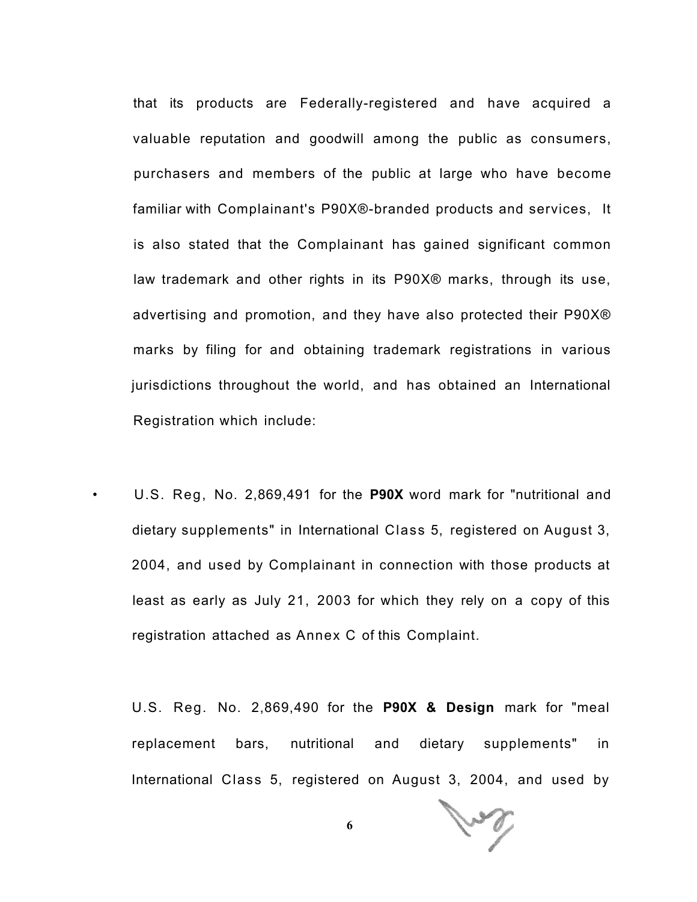that its products are Federally-registered and have acquired a valuable reputation and goodwill among the public as consumers, purchasers and members of the public at large who have become familiar with Complainant's P90X®-branded products and services, It is also stated that the Complainant has gained significant common law trademark and other rights in its P90X® marks, through its use, advertising and promotion, and they have also protected their P90X® marks by filing for and obtaining trademark registrations in various jurisdictions throughout the world, and has obtained an International Registration which include:

• U.S. Reg, No. 2,869,491 for the **P90X** word mark for "nutritional and dietary supplements" in International Class 5, registered on August 3, 2004, and used by Complainant in connection with those products at least as early as July 21, 2003 for which they rely on a copy of this registration attached as Annex C of this Complaint.

U.S. Reg. No. 2,869,490 for the **P90X & Design** mark for "meal replacement bars, nutritional and dietary supplements" in International Class 5, registered on August 3, 2004, and used by

Jug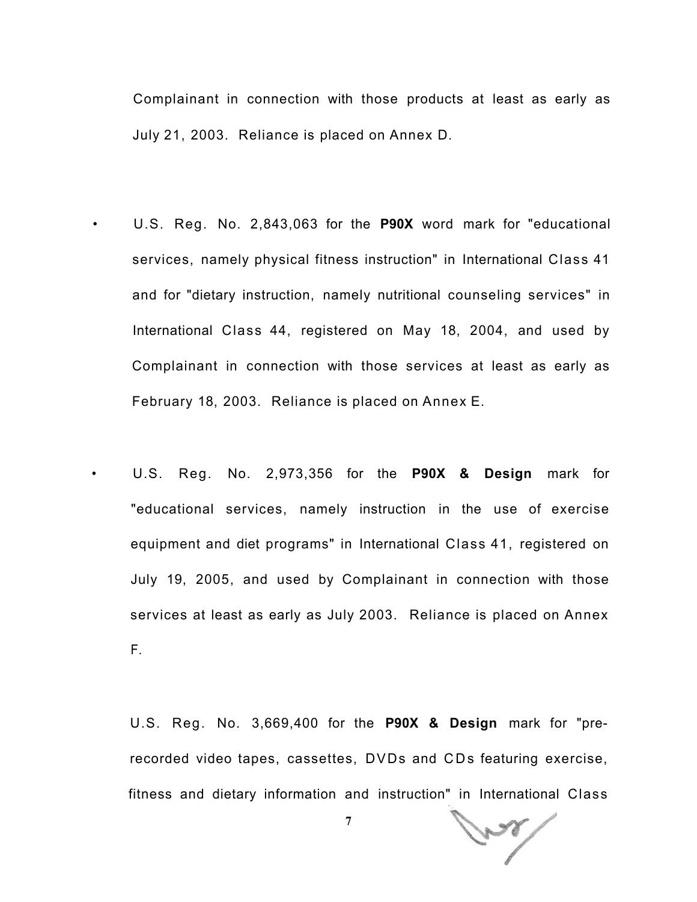Complainant in connection with those products at least as early as July 21, 2003. Reliance is placed on Annex D.

• U.S. Reg. No. 2,843,063 for the **P90X** word mark for "educational services, namely physical fitness instruction" in International Class 41 and for "dietary instruction, namely nutritional counseling services" in International Class 44, registered on May 18, 2004, and used by Complainant in connection with those services at least as early as February 18, 2003. Reliance is placed on Annex E.

• U.S. Reg. No. 2,973,356 for the **P90X & Design** mark for "educational services, namely instruction in the use of exercise equipment and diet programs" in International Class 41, registered on July 19, 2005, and used by Complainant in connection with those services at least as early as July 2003. Reliance is placed on Annex F.

U.S. Reg. No. 3,669,400 for the **P90X & Design** mark for "prerecorded video tapes, cassettes, DVDs and CDs featuring exercise, fitness and dietary information and instruction" in International Class

فمحسي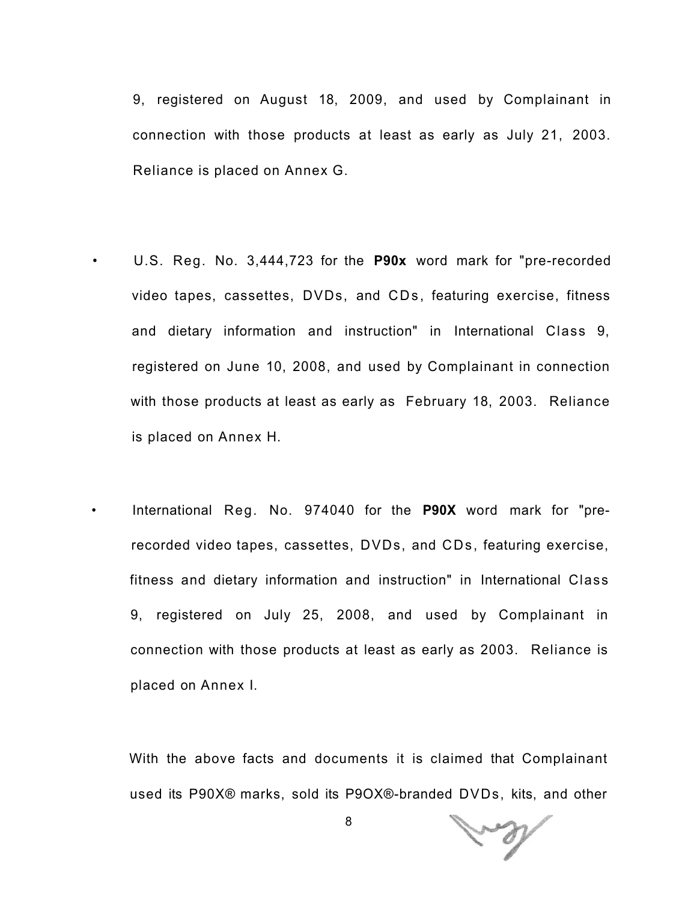9, registered on August 18, 2009, and used by Complainant in connection with those products at least as early as July 21, 2003. Reliance is placed on Annex G.

• U.S. Reg. No. 3,444,723 for the **P90x** word mark for "pre-recorded video tapes, cassettes, DVDs, and CDs, featuring exercise, fitness and dietary information and instruction" in International Class 9, registered on June 10, 2008, and used by Complainant in connection with those products at least as early as February 18, 2003. Reliance is placed on Annex H.

• International Reg. No. 974040 for the **P90X** word mark for "prerecorded video tapes, cassettes, DVDs, and CDs, featuring exercise, fitness and dietary information and instruction" in International Class 9, registered on July 25, 2008, and used by Complainant in connection with those products at least as early as 2003. Reliance is placed on Annex I.

With the above facts and documents it is claimed that Complainant used its P90X® marks, sold its P9OX®-branded DVDs, kits, and other

and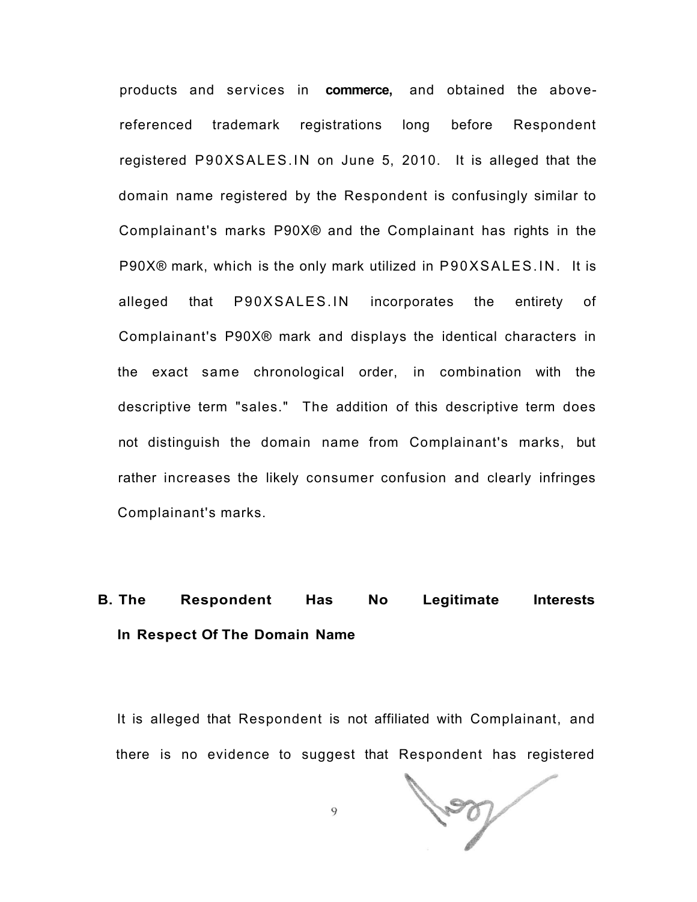products and services in **commerce,** and obtained the abovereferenced trademark registrations long before Respondent registered P90XSALES.IN on June 5, 2010. It is alleged that the domain name registered by the Respondent is confusingly similar to Complainant's marks P90X® and the Complainant has rights in the P90X® mark, which is the only mark utilized in P90XSALES.IN. It is alleged that P90XSALES.IN incorporates the entirety of Complainant's P90X® mark and displays the identical characters in the exact same chronological order, in combination with the descriptive term "sales." The addition of this descriptive term does not distinguish the domain name from Complainant's marks, but rather increases the likely consumer confusion and clearly infringes Complainant's marks.

## **B. The Respondent Has No Legitimate Interests In Respect Of The Domain Name**

It is alleged that Respondent is not affiliated with Complainant, and there is no evidence to suggest that Respondent has registered

200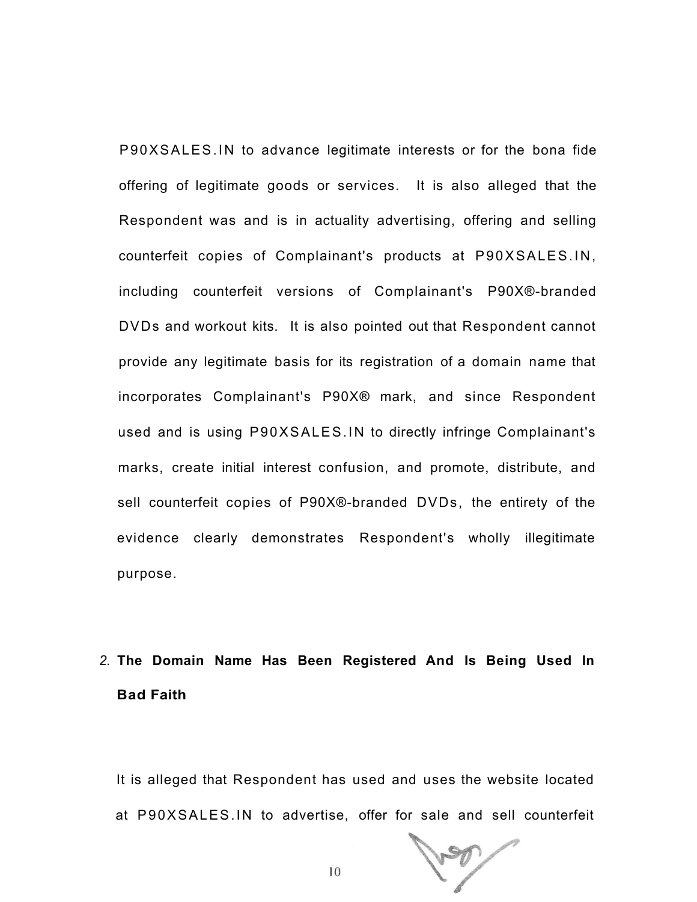P90XSALES.IN to advance legitimate interests or for the bona fide offering of legitimate goods or services. It is also alleged that the Respondent was and is in actuality advertising, offering and selling counterfeit copies of Complainant's products at P90XSALES.IN, including counterfeit versions of Complainant's P90X®-branded DVDs and workout kits. It is also pointed out that Respondent cannot provide any legitimate basis for its registration of a domain name that incorporates Complainant's P90X® mark, and since Respondent used and is using P90XSALES.IN to directly infringe Complainant's marks, create initial interest confusion, and promote, distribute, and sell counterfeit copies of P90X®-branded DVDs, the entirety of the evidence clearly demonstrates Respondent's wholly illegitimate purpose.

# *2.* **The Domain Name Has Been Registered And Is Being Used In Bad Faith**

It is alleged that Respondent has used and uses the website located at P90XSALES.IN to advertise, offer for sale and sell counterfeit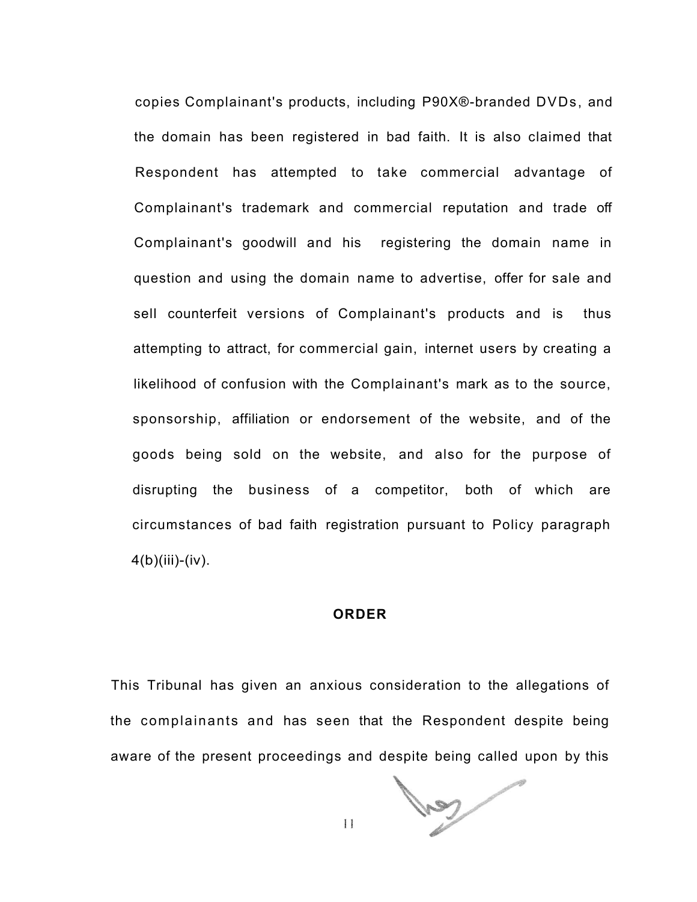copies Complainant's products, including P90X®-branded DVDs, and the domain has been registered in bad faith. It is also claimed that Respondent has attempted to take commercial advantage of Complainant's trademark and commercial reputation and trade off Complainant's goodwill and his registering the domain name in question and using the domain name to advertise, offer for sale and sell counterfeit versions of Complainant's products and is thus attempting to attract, for commercial gain, internet users by creating a likelihood of confusion with the Complainant's mark as to the source, sponsorship, affiliation or endorsement of the website, and of the goods being sold on the website, and also for the purpose of disrupting the business of a competitor, both of which are circumstances of bad faith registration pursuant to Policy paragraph  $4(b)(iii)-(iv).$ 

#### **ORDER**

This Tribunal has given an anxious consideration to the allegations of the complainants and has seen that the Respondent despite being aware of the present proceedings and despite being called upon by this

**SANT** 

 $\mathbf{1}$